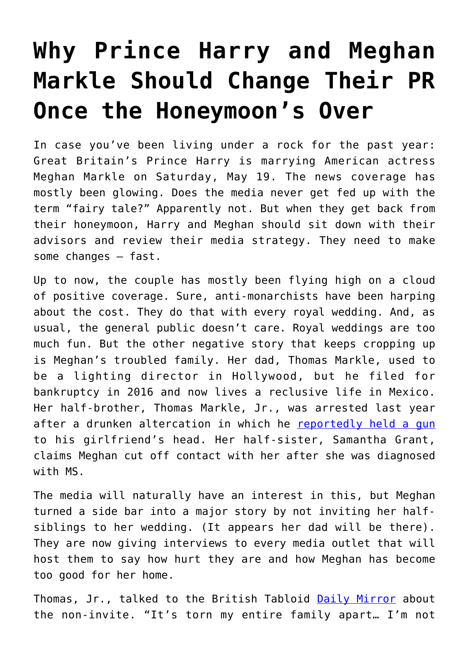## **[Why Prince Harry and Meghan](https://intellectualtakeout.org/2018/05/why-prince-harry-and-meghan-markle-should-change-their-pr-once-the-honeymoons-over/) [Markle Should Change Their PR](https://intellectualtakeout.org/2018/05/why-prince-harry-and-meghan-markle-should-change-their-pr-once-the-honeymoons-over/) [Once the Honeymoon's Over](https://intellectualtakeout.org/2018/05/why-prince-harry-and-meghan-markle-should-change-their-pr-once-the-honeymoons-over/)**

In case you've been living under a rock for the past year: Great Britain's Prince Harry is marrying American actress Meghan Markle on Saturday, May 19. The news coverage has mostly been glowing. Does the media never get fed up with the term "fairy tale?" Apparently not. But when they get back from their honeymoon, Harry and Meghan should sit down with their advisors and review their media strategy. They need to make some changes – fast.

Up to now, the couple has mostly been flying high on a cloud of positive coverage. Sure, anti-monarchists have been harping about the cost. They do that with every royal wedding. And, as usual, the general public doesn't care. Royal weddings are too much fun. But the other negative story that keeps cropping up is Meghan's troubled family. Her dad, Thomas Markle, used to be a lighting director in Hollywood, but he filed for bankruptcy in 2016 and now lives a reclusive life in Mexico. Her half-brother, Thomas Markle, Jr., was arrested last year after a drunken altercation in which he [reportedly held a gun](http://www.dailymail.co.uk/news/article-4120822/Meghan-Markle-s-brother-arrested-charged-holding-GUN-woman-s-head-drunken-row-turned-violent.html) to his girlfriend's head. Her half-sister, Samantha Grant, claims Meghan cut off contact with her after she was diagnosed with MS.

The media will naturally have an interest in this, but Meghan turned a side bar into a major story by not inviting her halfsiblings to her wedding. (It appears her dad will be there). They are now giving interviews to every media outlet that will host them to say how hurt they are and how Meghan has become too good for her home.

Thomas, Jr., talked to the British Tabloid [Daily Mirror](https://www.mirror.co.uk/news/uk-news/maybe-embarrass-her-brother-meghan-12386159) about the non-invite. "It's torn my entire family apart… I'm not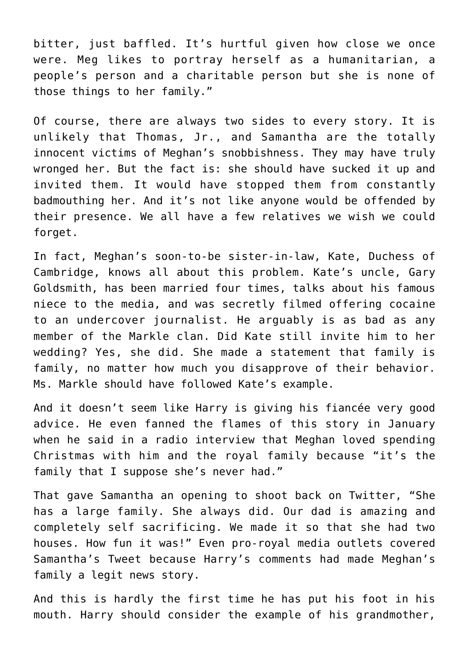bitter, just baffled. It's hurtful given how close we once were. Meg likes to portray herself as a humanitarian, a people's person and a charitable person but she is none of those things to her family."

Of course, there are always two sides to every story. It is unlikely that Thomas, Jr., and Samantha are the totally innocent victims of Meghan's snobbishness. They may have truly wronged her. But the fact is: she should have sucked it up and invited them. It would have stopped them from constantly badmouthing her. And it's not like anyone would be offended by their presence. We all have a few relatives we wish we could forget.

In fact, Meghan's soon-to-be sister-in-law, Kate, Duchess of Cambridge, knows all about this problem. Kate's uncle, Gary Goldsmith, has been married four times, talks about his famous niece to the media, and was secretly filmed offering cocaine to an undercover journalist. He arguably is as bad as any member of the Markle clan. Did Kate still invite him to her wedding? Yes, she did. She made a statement that family is family, no matter how much you disapprove of their behavior. Ms. Markle should have followed Kate's example.

And it doesn't seem like Harry is giving his fiancée very good advice. He even fanned the flames of this story in January when he said in a radio interview that Meghan loved spending Christmas with him and the royal family because "it's the family that I suppose she's never had."

That gave Samantha an opening to shoot back on Twitter, "She has a large family. She always did. Our dad is amazing and completely self sacrificing. We made it so that she had two houses. How fun it was!" Even pro-royal media outlets covered Samantha's Tweet because Harry's comments had made Meghan's family a legit news story.

And this is hardly the first time he has put his foot in his mouth. Harry should consider the example of his grandmother,